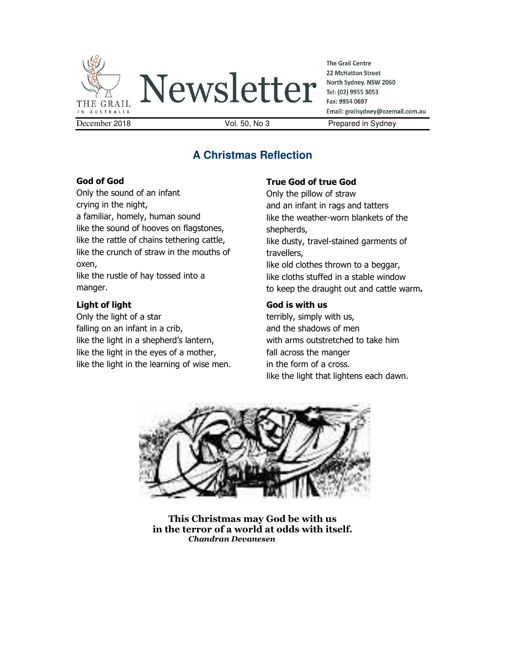

Newsletter

**The Grail Centre 22 McHatton Street** North Sydney. NSW 2060 Tel: (02) 9955 3053 Fax: 9954 0697 Email: grailsydney@ozemail.com.au

# **A Christmas Reflection**

#### **God of God**

Only the sound of an infant crying in the night, a familiar, homely, human sound like the sound of hooves on flagstones, like the rattle of chains tethering cattle, like the crunch of straw in the mouths of oxen,

like the rustle of hay tossed into a manger.

## **Light of light**

Only the light of a star falling on an infant in a crib, like the light in a shepherd's lantern, like the light in the eyes of a mother, like the light in the learning of wise men.

## **True God of true God**

Only the pillow of straw and an infant in rags and tatters like the weather-worn blankets of the shepherds, like dusty, travel-stained garments of travellers, like old clothes thrown to a beggar, like cloths stuffed in a stable window to keep the draught out and cattle warm**.** 

## **God is with us**

terribly, simply with us, and the shadows of men with arms outstretched to take him fall across the manger in the form of a cross. like the light that lightens each dawn.



**This Christmas may God be with us in the terror of a world at odds with itself.**  *Chandran Devanesen*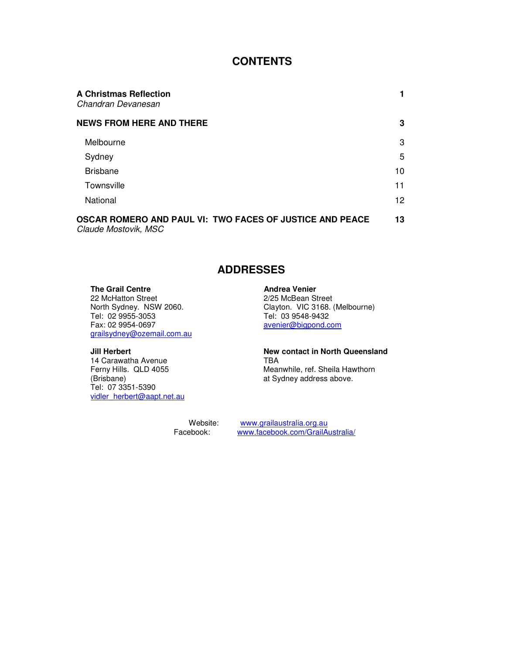## **CONTENTS**

| <b>A Christmas Reflection</b><br>Chandran Devanesan                              |    |
|----------------------------------------------------------------------------------|----|
| <b>NEWS FROM HERE AND THERE</b>                                                  | 3  |
| Melbourne                                                                        | 3  |
| Sydney                                                                           | 5  |
| <b>Brisbane</b>                                                                  | 10 |
| Townsville                                                                       | 11 |
| National                                                                         | 12 |
| OSCAR ROMERO AND PAUL VI: TWO FACES OF JUSTICE AND PEACE<br>Claude Mostovik, MSC | 13 |

## **ADDRESSES**

**The Grail Centre**<br>
22 McHatton Street<br>
22 McHatton Street<br>
Andrea Venier<br>
2/25 McBean St 22 McHatton Street<br>
North Sydney. NSW 2060.<br>
Clayton. VIC 3168. Tel: 02 9955-3053 Tel: 03 9548-9432 grailsydney@ozemail.com.au

14 Carawatha Avenue<br>Ferny Hills. QLD 4055 Tel: 07 3351-5390 vidler\_herbert@aapt.net.au

Clayton. VIC 3168. (Melbourne) avenier@bigpond.com

## **Jill Herbert New contact in North Queensland**<br>14 Carawatha Avenue **New Contact in North Queensland** Ferny Hills. QLD 4055 Meanwhile, ref. Sheila Hawthorn (Brisbane) Meanwhile, ref. Sheila Hawthorn at Sydney address above.

Website: www.grailaustralia.org.au Facebook: www.facebook.com/GrailAustralia/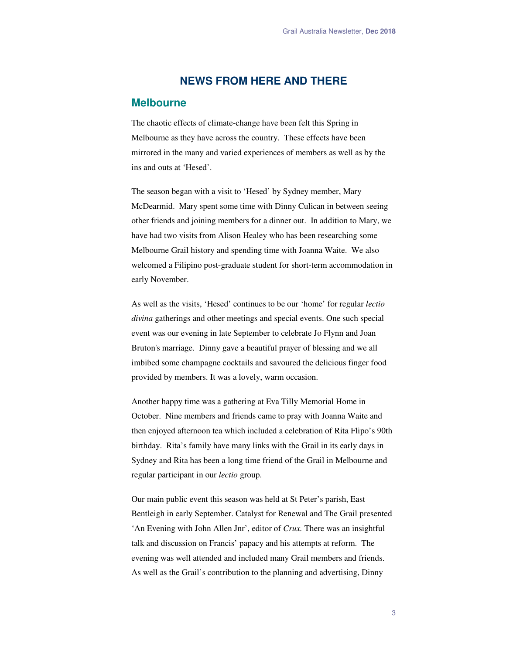### **NEWS FROM HERE AND THERE**

#### **Melbourne**

The chaotic effects of climate-change have been felt this Spring in Melbourne as they have across the country. These effects have been mirrored in the many and varied experiences of members as well as by the ins and outs at 'Hesed'.

The season began with a visit to 'Hesed' by Sydney member, Mary McDearmid. Mary spent some time with Dinny Culican in between seeing other friends and joining members for a dinner out. In addition to Mary, we have had two visits from Alison Healey who has been researching some Melbourne Grail history and spending time with Joanna Waite. We also welcomed a Filipino post-graduate student for short-term accommodation in early November.

As well as the visits, 'Hesed' continues to be our 'home' for regular *lectio divina* gatherings and other meetings and special events. One such special event was our evening in late September to celebrate Jo Flynn and Joan Bruton's marriage. Dinny gave a beautiful prayer of blessing and we all imbibed some champagne cocktails and savoured the delicious finger food provided by members. It was a lovely, warm occasion.

Another happy time was a gathering at Eva Tilly Memorial Home in October. Nine members and friends came to pray with Joanna Waite and then enjoyed afternoon tea which included a celebration of Rita Flipo's 90th birthday. Rita's family have many links with the Grail in its early days in Sydney and Rita has been a long time friend of the Grail in Melbourne and regular participant in our *lectio* group.

Our main public event this season was held at St Peter's parish, East Bentleigh in early September. Catalyst for Renewal and The Grail presented 'An Evening with John Allen Jnr', editor of *Crux.* There was an insightful talk and discussion on Francis' papacy and his attempts at reform. The evening was well attended and included many Grail members and friends. As well as the Grail's contribution to the planning and advertising, Dinny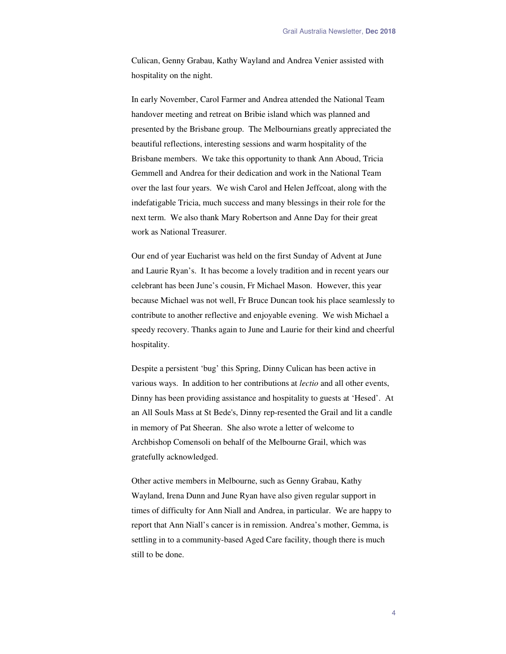Culican, Genny Grabau, Kathy Wayland and Andrea Venier assisted with hospitality on the night.

In early November, Carol Farmer and Andrea attended the National Team handover meeting and retreat on Bribie island which was planned and presented by the Brisbane group. The Melbournians greatly appreciated the beautiful reflections, interesting sessions and warm hospitality of the Brisbane members. We take this opportunity to thank Ann Aboud, Tricia Gemmell and Andrea for their dedication and work in the National Team over the last four years. We wish Carol and Helen Jeffcoat, along with the indefatigable Tricia, much success and many blessings in their role for the next term. We also thank Mary Robertson and Anne Day for their great work as National Treasurer.

Our end of year Eucharist was held on the first Sunday of Advent at June and Laurie Ryan's. It has become a lovely tradition and in recent years our celebrant has been June's cousin, Fr Michael Mason. However, this year because Michael was not well, Fr Bruce Duncan took his place seamlessly to contribute to another reflective and enjoyable evening. We wish Michael a speedy recovery. Thanks again to June and Laurie for their kind and cheerful hospitality.

Despite a persistent 'bug' this Spring, Dinny Culican has been active in various ways. In addition to her contributions at *lectio* and all other events, Dinny has been providing assistance and hospitality to guests at 'Hesed'. At an All Souls Mass at St Bede's, Dinny rep-resented the Grail and lit a candle in memory of Pat Sheeran. She also wrote a letter of welcome to Archbishop Comensoli on behalf of the Melbourne Grail, which was gratefully acknowledged.

Other active members in Melbourne, such as Genny Grabau, Kathy Wayland, Irena Dunn and June Ryan have also given regular support in times of difficulty for Ann Niall and Andrea, in particular. We are happy to report that Ann Niall's cancer is in remission. Andrea's mother, Gemma, is settling in to a community-based Aged Care facility, though there is much still to be done.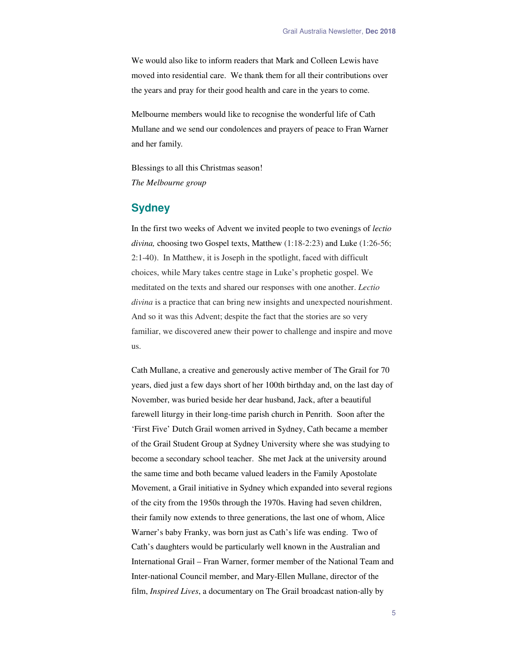We would also like to inform readers that Mark and Colleen Lewis have moved into residential care. We thank them for all their contributions over the years and pray for their good health and care in the years to come.

Melbourne members would like to recognise the wonderful life of Cath Mullane and we send our condolences and prayers of peace to Fran Warner and her family.

Blessings to all this Christmas season! *The Melbourne group* 

## **Sydney**

In the first two weeks of Advent we invited people to two evenings of *lectio divina,* choosing two Gospel texts, Matthew (1:18-2:23) and Luke (1:26-56; 2:1-40). In Matthew, it is Joseph in the spotlight, faced with difficult choices, while Mary takes centre stage in Luke's prophetic gospel. We meditated on the texts and shared our responses with one another. *Lectio divina* is a practice that can bring new insights and unexpected nourishment. And so it was this Advent; despite the fact that the stories are so very familiar, we discovered anew their power to challenge and inspire and move us.

Cath Mullane, a creative and generously active member of The Grail for 70 years, died just a few days short of her 100th birthday and, on the last day of November, was buried beside her dear husband, Jack, after a beautiful farewell liturgy in their long-time parish church in Penrith. Soon after the 'First Five' Dutch Grail women arrived in Sydney, Cath became a member of the Grail Student Group at Sydney University where she was studying to become a secondary school teacher. She met Jack at the university around the same time and both became valued leaders in the Family Apostolate Movement, a Grail initiative in Sydney which expanded into several regions of the city from the 1950s through the 1970s. Having had seven children, their family now extends to three generations, the last one of whom, Alice Warner's baby Franky, was born just as Cath's life was ending. Two of Cath's daughters would be particularly well known in the Australian and International Grail – Fran Warner, former member of the National Team and Inter-national Council member, and Mary-Ellen Mullane, director of the film, *Inspired Lives*, a documentary on The Grail broadcast nation-ally by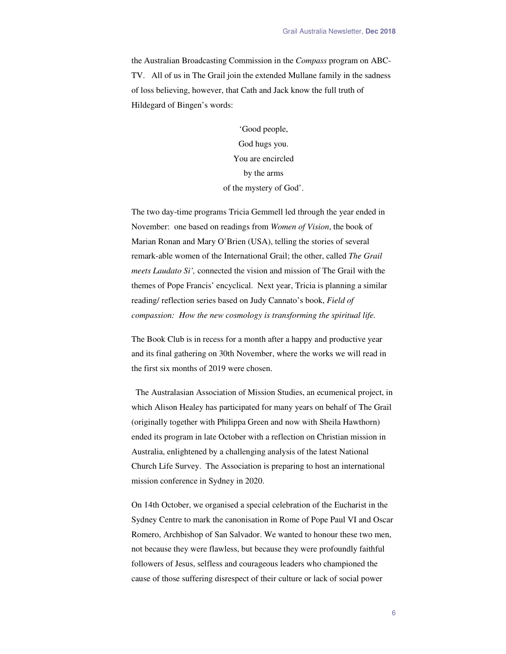the Australian Broadcasting Commission in the *Compass* program on ABC-TV. All of us in The Grail join the extended Mullane family in the sadness of loss believing, however, that Cath and Jack know the full truth of Hildegard of Bingen's words:

> 'Good people, God hugs you. You are encircled by the arms of the mystery of God'.

The two day-time programs Tricia Gemmell led through the year ended in November: one based on readings from *Women of Vision*, the book of Marian Ronan and Mary O'Brien (USA), telling the stories of several remark-able women of the International Grail; the other, called *The Grail meets Laudato Si',* connected the vision and mission of The Grail with the themes of Pope Francis' encyclical. Next year, Tricia is planning a similar reading/ reflection series based on Judy Cannato's book, *Field of compassion: How the new cosmology is transforming the spiritual life.* 

The Book Club is in recess for a month after a happy and productive year and its final gathering on 30th November, where the works we will read in the first six months of 2019 were chosen.

 The Australasian Association of Mission Studies, an ecumenical project, in which Alison Healey has participated for many years on behalf of The Grail (originally together with Philippa Green and now with Sheila Hawthorn) ended its program in late October with a reflection on Christian mission in Australia, enlightened by a challenging analysis of the latest National Church Life Survey. The Association is preparing to host an international mission conference in Sydney in 2020.

On 14th October, we organised a special celebration of the Eucharist in the Sydney Centre to mark the canonisation in Rome of Pope Paul VI and Oscar Romero, Archbishop of San Salvador. We wanted to honour these two men, not because they were flawless, but because they were profoundly faithful followers of Jesus, selfless and courageous leaders who championed the cause of those suffering disrespect of their culture or lack of social power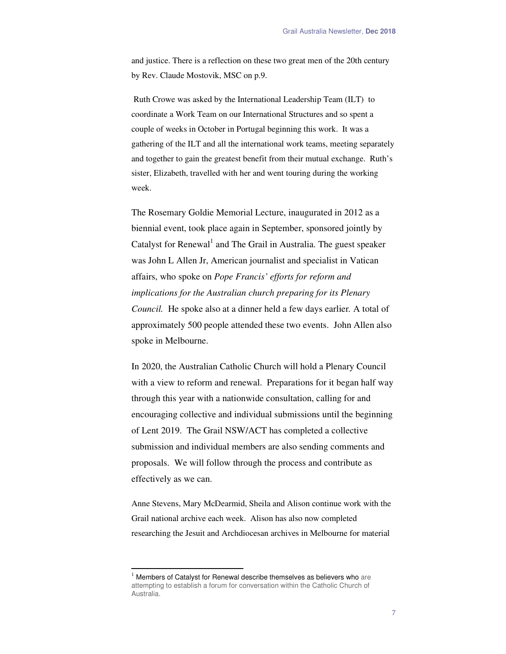and justice. There is a reflection on these two great men of the 20th century by Rev. Claude Mostovik, MSC on p.9.

 Ruth Crowe was asked by the International Leadership Team (ILT) to coordinate a Work Team on our International Structures and so spent a couple of weeks in October in Portugal beginning this work. It was a gathering of the ILT and all the international work teams, meeting separately and together to gain the greatest benefit from their mutual exchange. Ruth's sister, Elizabeth, travelled with her and went touring during the working week.

The Rosemary Goldie Memorial Lecture, inaugurated in 2012 as a biennial event, took place again in September, sponsored jointly by Catalyst for Renewal<sup>1</sup> and The Grail in Australia. The guest speaker was John L Allen Jr, American journalist and specialist in Vatican affairs, who spoke on *Pope Francis' efforts for reform and implications for the Australian church preparing for its Plenary Council.* He spoke also at a dinner held a few days earlier*.* A total of approximately 500 people attended these two events. John Allen also spoke in Melbourne.

In 2020, the Australian Catholic Church will hold a Plenary Council with a view to reform and renewal. Preparations for it began half way through this year with a nationwide consultation, calling for and encouraging collective and individual submissions until the beginning of Lent 2019. The Grail NSW/ACT has completed a collective submission and individual members are also sending comments and proposals. We will follow through the process and contribute as effectively as we can.

Anne Stevens, Mary McDearmid, Sheila and Alison continue work with the Grail national archive each week. Alison has also now completed researching the Jesuit and Archdiocesan archives in Melbourne for material

 $\ddot{ }$ 

 $1$  Members of Catalyst for Renewal describe themselves as believers who are attempting to establish a forum for conversation within the Catholic Church of Australia.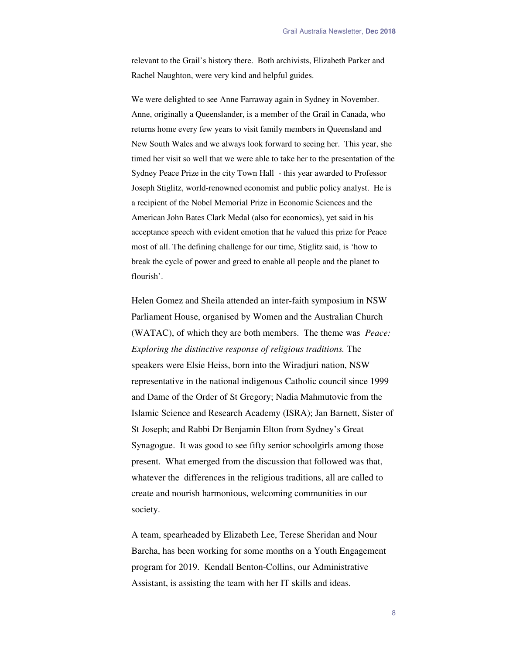relevant to the Grail's history there. Both archivists, Elizabeth Parker and Rachel Naughton, were very kind and helpful guides.

We were delighted to see Anne Farraway again in Sydney in November. Anne, originally a Queenslander, is a member of the Grail in Canada, who returns home every few years to visit family members in Queensland and New South Wales and we always look forward to seeing her. This year, she timed her visit so well that we were able to take her to the presentation of the Sydney Peace Prize in the city Town Hall - this year awarded to Professor Joseph Stiglitz, world-renowned economist and public policy analyst. He is a recipient of the Nobel Memorial Prize in Economic Sciences and the American John Bates Clark Medal (also for economics), yet said in his acceptance speech with evident emotion that he valued this prize for Peace most of all. The defining challenge for our time, Stiglitz said, is 'how to break the cycle of power and greed to enable all people and the planet to flourish'.

Helen Gomez and Sheila attended an inter-faith symposium in NSW Parliament House, organised by Women and the Australian Church (WATAC), of which they are both members. The theme was *Peace: Exploring the distinctive response of religious traditions.* The speakers were Elsie Heiss, born into the Wiradjuri nation, NSW representative in the national indigenous Catholic council since 1999 and Dame of the Order of St Gregory; Nadia Mahmutovic from the Islamic Science and Research Academy (ISRA); Jan Barnett, Sister of St Joseph; and Rabbi Dr Benjamin Elton from Sydney's Great Synagogue. It was good to see fifty senior schoolgirls among those present. What emerged from the discussion that followed was that, whatever the differences in the religious traditions, all are called to create and nourish harmonious, welcoming communities in our society.

A team, spearheaded by Elizabeth Lee, Terese Sheridan and Nour Barcha, has been working for some months on a Youth Engagement program for 2019. Kendall Benton-Collins, our Administrative Assistant, is assisting the team with her IT skills and ideas.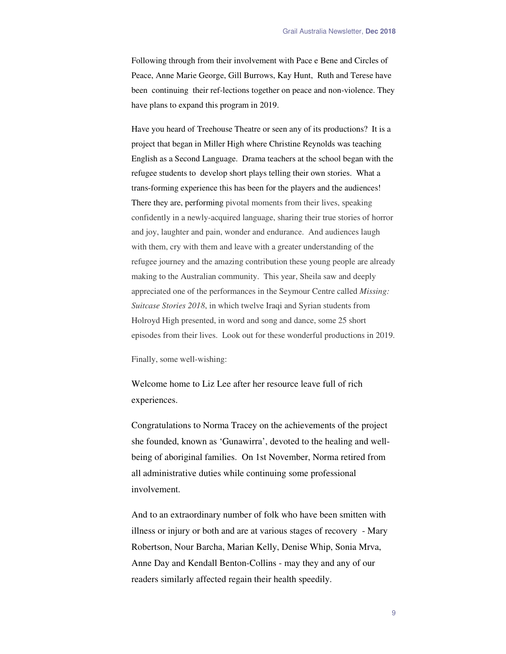Following through from their involvement with Pace e Bene and Circles of Peace, Anne Marie George, Gill Burrows, Kay Hunt, Ruth and Terese have been continuing their ref-lections together on peace and non-violence. They have plans to expand this program in 2019.

Have you heard of Treehouse Theatre or seen any of its productions? It is a project that began in Miller High where Christine Reynolds was teaching English as a Second Language. Drama teachers at the school began with the refugee students to develop short plays telling their own stories. What a trans-forming experience this has been for the players and the audiences! There they are, performing pivotal moments from their lives, speaking confidently in a newly-acquired language, sharing their true stories of horror and joy, laughter and pain, wonder and endurance. And audiences laugh with them, cry with them and leave with a greater understanding of the refugee journey and the amazing contribution these young people are already making to the Australian community. This year, Sheila saw and deeply appreciated one of the performances in the Seymour Centre called *Missing: Suitcase Stories 2018*, in which twelve Iraqi and Syrian students from Holroyd High presented, in word and song and dance, some 25 short episodes from their lives. Look out for these wonderful productions in 2019.

Finally, some well-wishing:

Welcome home to Liz Lee after her resource leave full of rich experiences.

Congratulations to Norma Tracey on the achievements of the project she founded, known as 'Gunawirra', devoted to the healing and wellbeing of aboriginal families. On 1st November, Norma retired from all administrative duties while continuing some professional involvement.

And to an extraordinary number of folk who have been smitten with illness or injury or both and are at various stages of recovery - Mary Robertson, Nour Barcha, Marian Kelly, Denise Whip, Sonia Mrva, Anne Day and Kendall Benton-Collins - may they and any of our readers similarly affected regain their health speedily.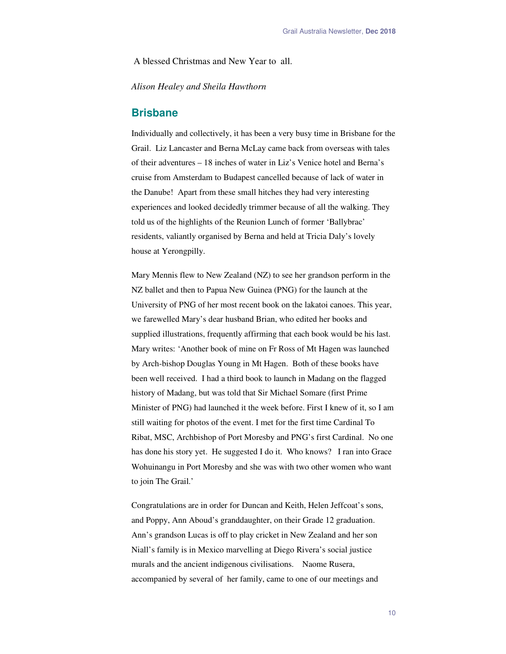A blessed Christmas and New Year to all.

*Alison Healey and Sheila Hawthorn* 

#### **Brisbane**

Individually and collectively, it has been a very busy time in Brisbane for the Grail. Liz Lancaster and Berna McLay came back from overseas with tales of their adventures – 18 inches of water in Liz's Venice hotel and Berna's cruise from Amsterdam to Budapest cancelled because of lack of water in the Danube! Apart from these small hitches they had very interesting experiences and looked decidedly trimmer because of all the walking. They told us of the highlights of the Reunion Lunch of former 'Ballybrac' residents, valiantly organised by Berna and held at Tricia Daly's lovely house at Yerongpilly.

Mary Mennis flew to New Zealand (NZ) to see her grandson perform in the NZ ballet and then to Papua New Guinea (PNG) for the launch at the University of PNG of her most recent book on the lakatoi canoes. This year, we farewelled Mary's dear husband Brian, who edited her books and supplied illustrations, frequently affirming that each book would be his last. Mary writes: 'Another book of mine on Fr Ross of Mt Hagen was launched by Arch-bishop Douglas Young in Mt Hagen. Both of these books have been well received. I had a third book to launch in Madang on the flagged history of Madang, but was told that Sir Michael Somare (first Prime Minister of PNG) had launched it the week before. First I knew of it, so I am still waiting for photos of the event. I met for the first time Cardinal To Ribat, MSC, Archbishop of Port Moresby and PNG's first Cardinal. No one has done his story yet. He suggested I do it. Who knows? I ran into Grace Wohuinangu in Port Moresby and she was with two other women who want to join The Grail.'

Congratulations are in order for Duncan and Keith, Helen Jeffcoat's sons, and Poppy, Ann Aboud's granddaughter, on their Grade 12 graduation. Ann's grandson Lucas is off to play cricket in New Zealand and her son Niall's family is in Mexico marvelling at Diego Rivera's social justice murals and the ancient indigenous civilisations. Naome Rusera, accompanied by several of her family, came to one of our meetings and

10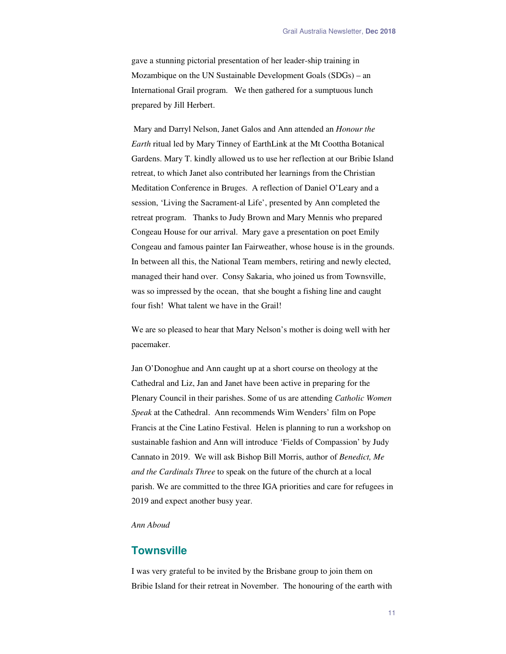gave a stunning pictorial presentation of her leader-ship training in Mozambique on the UN Sustainable Development Goals (SDGs) – an International Grail program. We then gathered for a sumptuous lunch prepared by Jill Herbert.

 Mary and Darryl Nelson, Janet Galos and Ann attended an *Honour the Earth* ritual led by Mary Tinney of EarthLink at the Mt Coottha Botanical Gardens. Mary T. kindly allowed us to use her reflection at our Bribie Island retreat, to which Janet also contributed her learnings from the Christian Meditation Conference in Bruges. A reflection of Daniel O'Leary and a session, 'Living the Sacrament-al Life', presented by Ann completed the retreat program. Thanks to Judy Brown and Mary Mennis who prepared Congeau House for our arrival. Mary gave a presentation on poet Emily Congeau and famous painter Ian Fairweather, whose house is in the grounds. In between all this, the National Team members, retiring and newly elected, managed their hand over. Consy Sakaria, who joined us from Townsville, was so impressed by the ocean, that she bought a fishing line and caught four fish! What talent we have in the Grail!

We are so pleased to hear that Mary Nelson's mother is doing well with her pacemaker.

Jan O'Donoghue and Ann caught up at a short course on theology at the Cathedral and Liz, Jan and Janet have been active in preparing for the Plenary Council in their parishes. Some of us are attending *Catholic Women Speak* at the Cathedral. Ann recommends Wim Wenders' film on Pope Francis at the Cine Latino Festival. Helen is planning to run a workshop on sustainable fashion and Ann will introduce 'Fields of Compassion' by Judy Cannato in 2019. We will ask Bishop Bill Morris, author of *Benedict, Me and the Cardinals Three* to speak on the future of the church at a local parish. We are committed to the three IGA priorities and care for refugees in 2019 and expect another busy year.

#### *Ann Aboud*

## **Townsville**

I was very grateful to be invited by the Brisbane group to join them on Bribie Island for their retreat in November. The honouring of the earth with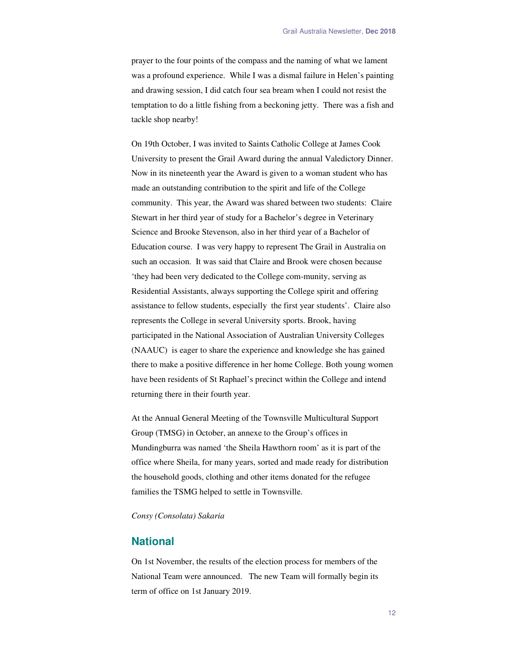prayer to the four points of the compass and the naming of what we lament was a profound experience. While I was a dismal failure in Helen's painting and drawing session, I did catch four sea bream when I could not resist the temptation to do a little fishing from a beckoning jetty. There was a fish and tackle shop nearby!

On 19th October, I was invited to Saints Catholic College at James Cook University to present the Grail Award during the annual Valedictory Dinner. Now in its nineteenth year the Award is given to a woman student who has made an outstanding contribution to the spirit and life of the College community. This year, the Award was shared between two students: Claire Stewart in her third year of study for a Bachelor's degree in Veterinary Science and Brooke Stevenson, also in her third year of a Bachelor of Education course. I was very happy to represent The Grail in Australia on such an occasion. It was said that Claire and Brook were chosen because 'they had been very dedicated to the College com-munity, serving as Residential Assistants, always supporting the College spirit and offering assistance to fellow students, especially the first year students'. Claire also represents the College in several University sports. Brook, having participated in the National Association of Australian University Colleges (NAAUC) is eager to share the experience and knowledge she has gained there to make a positive difference in her home College. Both young women have been residents of St Raphael's precinct within the College and intend returning there in their fourth year.

At the Annual General Meeting of the Townsville Multicultural Support Group (TMSG) in October, an annexe to the Group's offices in Mundingburra was named 'the Sheila Hawthorn room' as it is part of the office where Sheila, for many years, sorted and made ready for distribution the household goods, clothing and other items donated for the refugee families the TSMG helped to settle in Townsville.

*Consy (Consolata) Sakaria* 

## **National**

On 1st November, the results of the election process for members of the National Team were announced. The new Team will formally begin its term of office on 1st January 2019.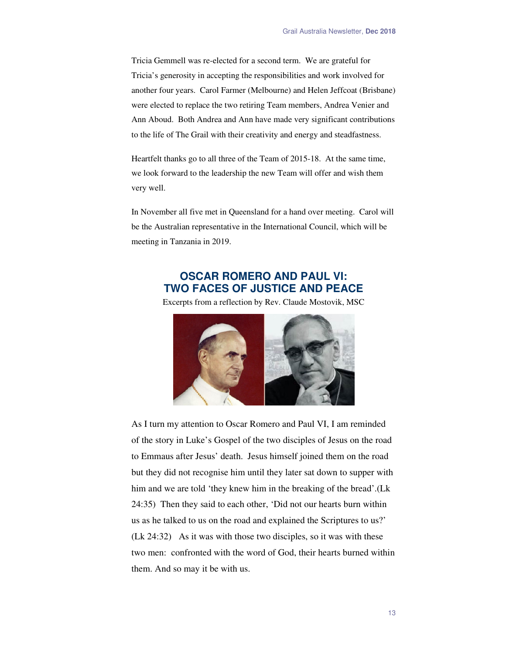Tricia Gemmell was re-elected for a second term. We are grateful for Tricia's generosity in accepting the responsibilities and work involved for another four years. Carol Farmer (Melbourne) and Helen Jeffcoat (Brisbane) were elected to replace the two retiring Team members, Andrea Venier and Ann Aboud. Both Andrea and Ann have made very significant contributions to the life of The Grail with their creativity and energy and steadfastness.

Heartfelt thanks go to all three of the Team of 2015-18. At the same time, we look forward to the leadership the new Team will offer and wish them very well.

In November all five met in Queensland for a hand over meeting. Carol will be the Australian representative in the International Council, which will be meeting in Tanzania in 2019.

## **OSCAR ROMERO AND PAUL VI: TWO FACES OF JUSTICE AND PEACE**

Excerpts from a reflection by Rev. Claude Mostovik, MSC



As I turn my attention to Oscar Romero and Paul VI, I am reminded of the story in Luke's Gospel of the two disciples of Jesus on the road to Emmaus after Jesus' death. Jesus himself joined them on the road but they did not recognise him until they later sat down to supper with him and we are told 'they knew him in the breaking of the bread'.(Lk 24:35) Then they said to each other, 'Did not our hearts burn within us as he talked to us on the road and explained the Scriptures to us?' (Lk 24:32) As it was with those two disciples, so it was with these two men: confronted with the word of God, their hearts burned within them. And so may it be with us.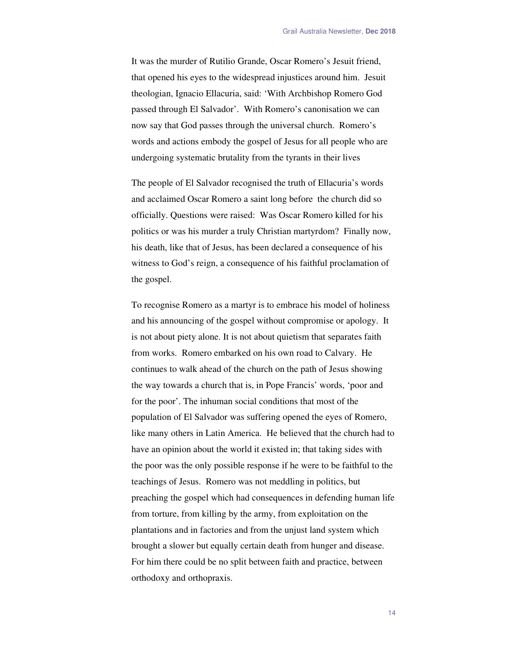It was the murder of Rutilio Grande, Oscar Romero's Jesuit friend, that opened his eyes to the widespread injustices around him. Jesuit theologian, Ignacio Ellacuria, said: 'With Archbishop Romero God passed through El Salvador'. With Romero's canonisation we can now say that God passes through the universal church. Romero's words and actions embody the gospel of Jesus for all people who are undergoing systematic brutality from the tyrants in their lives

The people of El Salvador recognised the truth of Ellacuria's words and acclaimed Oscar Romero a saint long before the church did so officially. Questions were raised: Was Oscar Romero killed for his politics or was his murder a truly Christian martyrdom? Finally now, his death, like that of Jesus, has been declared a consequence of his witness to God's reign, a consequence of his faithful proclamation of the gospel.

To recognise Romero as a martyr is to embrace his model of holiness and his announcing of the gospel without compromise or apology. It is not about piety alone. It is not about quietism that separates faith from works. Romero embarked on his own road to Calvary. He continues to walk ahead of the church on the path of Jesus showing the way towards a church that is, in Pope Francis' words, 'poor and for the poor'. The inhuman social conditions that most of the population of El Salvador was suffering opened the eyes of Romero, like many others in Latin America. He believed that the church had to have an opinion about the world it existed in; that taking sides with the poor was the only possible response if he were to be faithful to the teachings of Jesus. Romero was not meddling in politics, but preaching the gospel which had consequences in defending human life from torture, from killing by the army, from exploitation on the plantations and in factories and from the unjust land system which brought a slower but equally certain death from hunger and disease. For him there could be no split between faith and practice, between orthodoxy and orthopraxis.

14